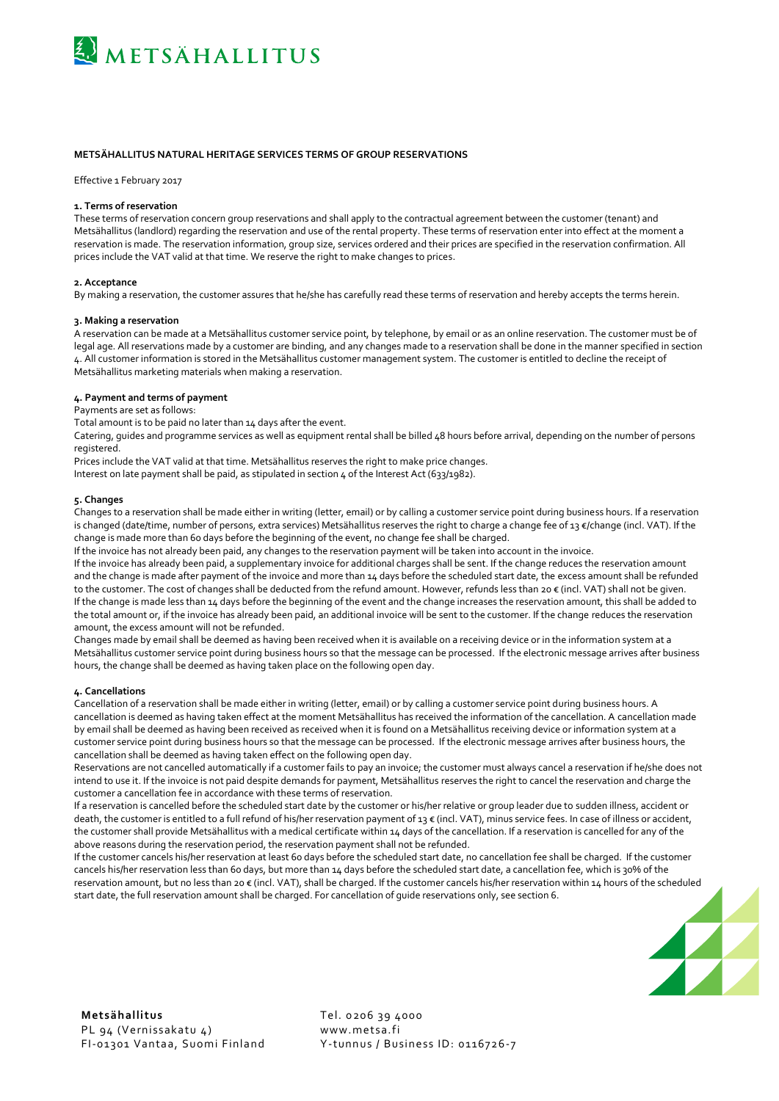

# **METSÄHALLITUS NATURAL HERITAGE SERVICES TERMS OF GROUP RESERVATIONS**

Effective 1 February 2017

## **1. Terms of reservation**

These terms of reservation concern group reservations and shall apply to the contractual agreement between the customer (tenant) and Metsähallitus (landlord) regarding the reservation and use of the rental property. These terms of reservation enter into effect at the moment a reservation is made. The reservation information, group size, services ordered and their prices are specified in the reservation confirmation. All prices include the VAT valid at that time. We reserve the right to make changes to prices.

### **2. Acceptance**

By making a reservation, the customer assures that he/she has carefully read these terms of reservation and hereby accepts the terms herein.

### **3. Making a reservation**

A reservation can be made at a Metsähallitus customer service point, by telephone, by email or as an online reservation. The customer must be of legal age. All reservations made by a customer are binding, and any changes made to a reservation shall be done in the manner specified in section 4. All customer information is stored in the Metsähallitus customer management system. The customer is entitled to decline the receipt of Metsähallitus marketing materials when making a reservation.

## **4. Payment and terms of payment**

# Payments are set as follows:

Total amount is to be paid no later than 14 days after the event.

Catering, guides and programme services as well as equipment rental shall be billed 48 hours before arrival, depending on the number of persons registered.

Prices include the VAT valid at that time. Metsähallitus reserves the right to make price changes.

Interest on late payment shall be paid, as stipulated in section 4 of the Interest Act (633/1982).

#### **5. Changes**

Changes to a reservation shall be made either in writing (letter, email) or by calling a customer service point during business hours. If a reservation is changed (date/time, number of persons, extra services) Metsähallitus reserves the right to charge a change fee of 13 €/change (incl. VAT). If the change is made more than 60 days before the beginning of the event, no change fee shall be charged.

If the invoice has not already been paid, any changes to the reservation payment will be taken into account in the invoice.

If the invoice has already been paid, a supplementary invoice for additional charges shall be sent. If the change reduces the reservation amount and the change is made after payment of the invoice and more than 14 days before the scheduled start date, the excess amount shall be refunded to the customer. The cost of changes shall be deducted from the refund amount. However, refunds less than 20 € (incl. VAT) shall not be given. If the change is made less than 14 days before the beginning of the event and the change increases the reservation amount, this shall be added to the total amount or, if the invoice has already been paid, an additional invoice will be sent to the customer. If the change reduces the reservation amount, the excess amount will not be refunded.

Changes made by email shall be deemed as having been received when it is available on a receiving device or in the information system at a Metsähallitus customer service point during business hours so that the message can be processed. If the electronic message arrives after business hours, the change shall be deemed as having taken place on the following open day.

# **4. Cancellations**

Cancellation of a reservation shall be made either in writing (letter, email) or by calling a customer service point during business hours. A cancellation is deemed as having taken effect at the moment Metsähallitus has received the information of the cancellation. A cancellation made by email shall be deemed as having been received as received when it is found on a Metsähallitus receiving device or information system at a customer service point during business hours so that the message can be processed. If the electronic message arrives after business hours, the cancellation shall be deemed as having taken effect on the following open day.

Reservations are not cancelled automatically if a customer fails to pay an invoice; the customer must always cancel a reservation if he/she does not intend to use it. If the invoice is not paid despite demands for payment, Metsähallitus reserves the right to cancel the reservation and charge the customer a cancellation fee in accordance with these terms of reservation.

If a reservation is cancelled before the scheduled start date by the customer or his/her relative or group leader due to sudden illness, accident or death, the customer is entitled to a full refund of his/her reservation payment of 13 € (incl. VAT), minus service fees. In case of illness or accident, the customer shall provide Metsähallitus with a medical certificate within 14 days of the cancellation. If a reservation is cancelled for any of the above reasons during the reservation period, the reservation payment shall not be refunded.

If the customer cancels his/her reservation at least 60 days before the scheduled start date, no cancellation fee shall be charged. If the customer cancels his/her reservation less than 60 days, but more than 14 days before the scheduled start date, a cancellation fee, which is 30% of the reservation amount, but no less than 20 € (incl. VAT), shall be charged. If the customer cancels his/her reservation within 14 hours of the scheduled start date, the full reservation amount shall be charged. For cancellation of guide reservations only, see section 6.



FI-01301 Vantaa, Suomi Finland Y-tunnus / Business ID: 0116726-7